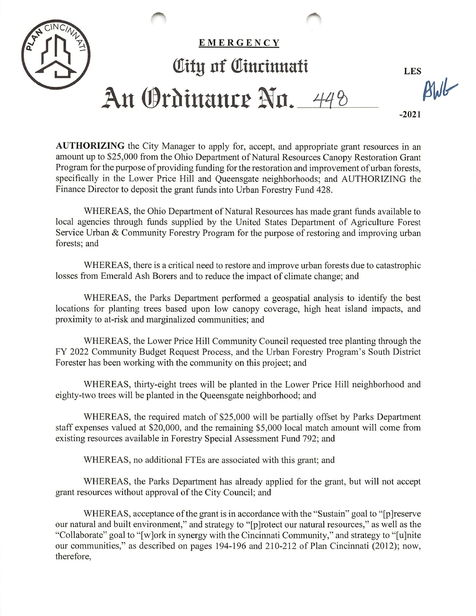

AUTHORIZING the City Manager to apply for, accept, and appropriate grant resources in an amount up to \$25,000 from the Ohio Department of Natural Resources Canopy Restoration Grant Program for the purpose of providing funding for the restoration and improvement of urban forests, specifically in the Lower Price Hill and Queensgate neighborhoods; and AUTHORIZING the Finance Director to deposit the grant funds into Urban Forestry Fund 428.

WHEREAS, the Ohio Department of Natural Resources has made grant funds available to local agencies through funds supplied by the United States Department of Agriculture Forest Service Urban & Community Forestry Program for the purpose of restoring and improving urban forests; and

WHEREAS, there is a critical need to restore and improve urban forests due to catastrophic losses from Emerald Ash Borers and to reduce the impact of climate change; and

WHEREAS, the Parks Department performed a geospatial analysis to identify the best locations for planting trees based upon low canopy coverage, high heat island impacts, and proximity to at-risk and marginalized communities; and

WHEREAS, the Lower Price Hill Community Council requested tree planting through the FY 2022 Community Budget Request Process, and the Urban Forestry Program's South District Forester has been working with the community on this project; and

WHEREAS, thirty-eight trees will be planted in the Lower Price Hill neighborhood and eighty-two trees will be planted in the Queensgate neighborhood; and

WHEREAS, the required match of \$25,000 will be partially offset by Parks Department staff expenses valued at \$20,000, and the remaining \$5,000 local match amount will come from existing resources available in Forestry Special Assessment Fund 792; and

WHEREAS, no additional FTEs are associated with this grant; and

WHEREAS, the Parks Department has already applied for the grant, but will not accept grant resources without approval of the City Council; and

WHEREAS, acceptance of the grant is in accordance with the "Sustain" goal to "[p] reserve our natural and built environment," and strategy to "[pjrotect our natural resources," as well as the "Collaborate" goal to "[w]ork in synergy with the Cincinnati Community," and strategy to "[ujnite our communities," as described on pages 194-196 and 210-212 of Plan Cincinnati (2012); now, therefore.